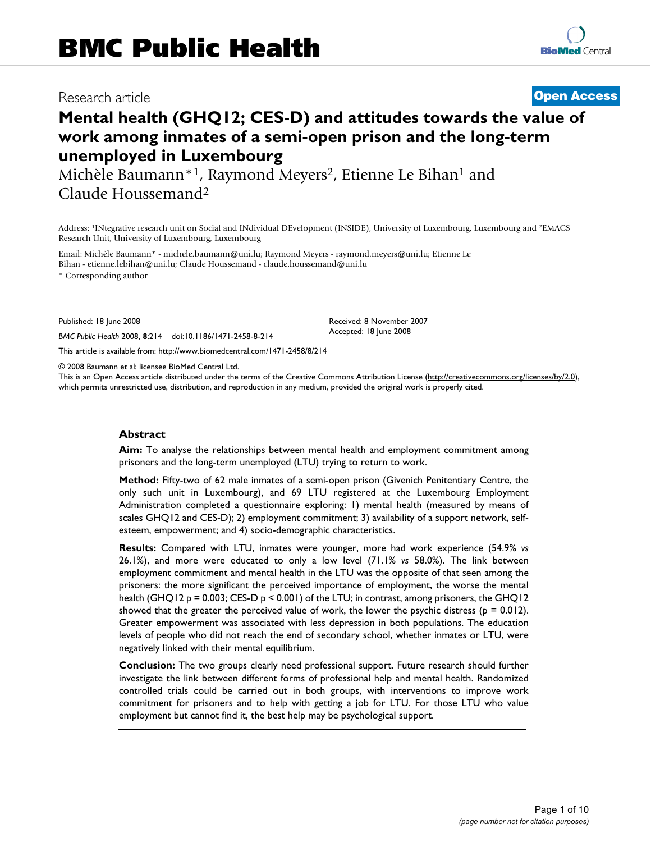# Research article **[Open Access](http://www.biomedcentral.com/info/about/charter/)**

# **Mental health (GHQ12; CES-D) and attitudes towards the value of work among inmates of a semi-open prison and the long-term unemployed in Luxembourg**

Michèle Baumann\*<sup>1</sup>, Raymond Meyers<sup>2</sup>, Etienne Le Bihan<sup>1</sup> and Claude Houssemand2

Address: 1INtegrative research unit on Social and INdividual DEvelopment (INSIDE), University of Luxembourg, Luxembourg and 2EMACS Research Unit, University of Luxembourg, Luxembourg

Email: Michèle Baumann\* - michele.baumann@uni.lu; Raymond Meyers - raymond.meyers@uni.lu; Etienne Le Bihan - etienne.lebihan@uni.lu; Claude Houssemand - claude.houssemand@uni.lu

\* Corresponding author

Published: 18 June 2008

*BMC Public Health* 2008, **8**:214 doi:10.1186/1471-2458-8-214

[This article is available from: http://www.biomedcentral.com/1471-2458/8/214](http://www.biomedcentral.com/1471-2458/8/214)

© 2008 Baumann et al; licensee BioMed Central Ltd.

This is an Open Access article distributed under the terms of the Creative Commons Attribution License [\(http://creativecommons.org/licenses/by/2.0\)](http://creativecommons.org/licenses/by/2.0), which permits unrestricted use, distribution, and reproduction in any medium, provided the original work is properly cited.

Received: 8 November 2007 Accepted: 18 June 2008

#### **Abstract**

**Aim:** To analyse the relationships between mental health and employment commitment among prisoners and the long-term unemployed (LTU) trying to return to work.

**Method:** Fifty-two of 62 male inmates of a semi-open prison (Givenich Penitentiary Centre, the only such unit in Luxembourg), and 69 LTU registered at the Luxembourg Employment Administration completed a questionnaire exploring: 1) mental health (measured by means of scales GHQ12 and CES-D); 2) employment commitment; 3) availability of a support network, selfesteem, empowerment; and 4) socio-demographic characteristics.

**Results:** Compared with LTU, inmates were younger, more had work experience (54.9% *vs* 26.1%), and more were educated to only a low level (71.1% *vs* 58.0%). The link between employment commitment and mental health in the LTU was the opposite of that seen among the prisoners: the more significant the perceived importance of employment, the worse the mental health (GHQ12 p = 0.003; CES-D p < 0.001) of the LTU; in contrast, among prisoners, the GHQ12 showed that the greater the perceived value of work, the lower the psychic distress ( $p = 0.012$ ). Greater empowerment was associated with less depression in both populations. The education levels of people who did not reach the end of secondary school, whether inmates or LTU, were negatively linked with their mental equilibrium.

**Conclusion:** The two groups clearly need professional support. Future research should further investigate the link between different forms of professional help and mental health. Randomized controlled trials could be carried out in both groups, with interventions to improve work commitment for prisoners and to help with getting a job for LTU. For those LTU who value employment but cannot find it, the best help may be psychological support.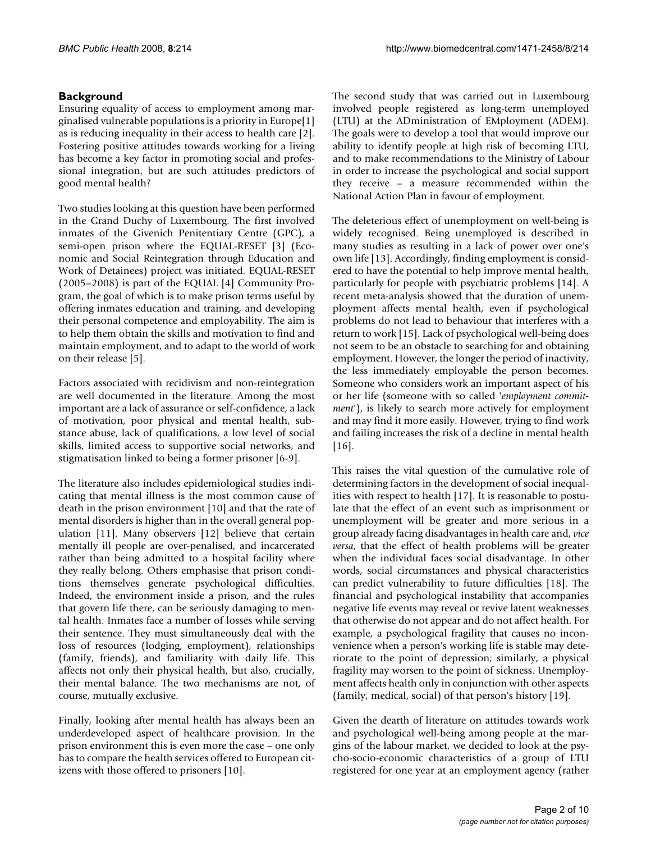# **Background**

Ensuring equality of access to employment among marginalised vulnerable populations is a priority in Europe[1] as is reducing inequality in their access to health care [2]. Fostering positive attitudes towards working for a living has become a key factor in promoting social and professional integration, but are such attitudes predictors of good mental health?

Two studies looking at this question have been performed in the Grand Duchy of Luxembourg. The first involved inmates of the Givenich Penitentiary Centre (GPC), a semi-open prison where the EQUAL-RESET [3] (Economic and Social Reintegration through Education and Work of Detainees) project was initiated. EQUAL-RESET (2005–2008) is part of the EQUAL [4] Community Program, the goal of which is to make prison terms useful by offering inmates education and training, and developing their personal competence and employability. The aim is to help them obtain the skills and motivation to find and maintain employment, and to adapt to the world of work on their release [5].

Factors associated with recidivism and non-reintegration are well documented in the literature. Among the most important are a lack of assurance or self-confidence, a lack of motivation, poor physical and mental health, substance abuse, lack of qualifications, a low level of social skills, limited access to supportive social networks, and stigmatisation linked to being a former prisoner [6-9].

The literature also includes epidemiological studies indicating that mental illness is the most common cause of death in the prison environment [10] and that the rate of mental disorders is higher than in the overall general population [11]. Many observers [12] believe that certain mentally ill people are over-penalised, and incarcerated rather than being admitted to a hospital facility where they really belong. Others emphasise that prison conditions themselves generate psychological difficulties. Indeed, the environment inside a prison, and the rules that govern life there, can be seriously damaging to mental health. Inmates face a number of losses while serving their sentence. They must simultaneously deal with the loss of resources (lodging, employment), relationships (family, friends), and familiarity with daily life. This affects not only their physical health, but also, crucially, their mental balance. The two mechanisms are not, of course, mutually exclusive.

Finally, looking after mental health has always been an underdeveloped aspect of healthcare provision. In the prison environment this is even more the case – one only has to compare the health services offered to European citizens with those offered to prisoners [10].

The second study that was carried out in Luxembourg involved people registered as long-term unemployed (LTU) at the ADministration of EMployment (ADEM). The goals were to develop a tool that would improve our ability to identify people at high risk of becoming LTU, and to make recommendations to the Ministry of Labour in order to increase the psychological and social support they receive – a measure recommended within the National Action Plan in favour of employment.

The deleterious effect of unemployment on well-being is widely recognised. Being unemployed is described in many studies as resulting in a lack of power over one's own life [13]. Accordingly, finding employment is considered to have the potential to help improve mental health, particularly for people with psychiatric problems [14]. A recent meta-analysis showed that the duration of unemployment affects mental health, even if psychological problems do not lead to behaviour that interferes with a return to work [15]. Lack of psychological well-being does not seem to be an obstacle to searching for and obtaining employment. However, the longer the period of inactivity, the less immediately employable the person becomes. Someone who considers work an important aspect of his or her life (someone with so called '*employment commitment*'), is likely to search more actively for employment and may find it more easily. However, trying to find work and failing increases the risk of a decline in mental health [16].

This raises the vital question of the cumulative role of determining factors in the development of social inequalities with respect to health [17]. It is reasonable to postulate that the effect of an event such as imprisonment or unemployment will be greater and more serious in a group already facing disadvantages in health care and, *vice versa*, that the effect of health problems will be greater when the individual faces social disadvantage. In other words, social circumstances and physical characteristics can predict vulnerability to future difficulties [18]. The financial and psychological instability that accompanies negative life events may reveal or revive latent weaknesses that otherwise do not appear and do not affect health. For example, a psychological fragility that causes no inconvenience when a person's working life is stable may deteriorate to the point of depression; similarly, a physical fragility may worsen to the point of sickness. Unemployment affects health only in conjunction with other aspects (family, medical, social) of that person's history [19].

Given the dearth of literature on attitudes towards work and psychological well-being among people at the margins of the labour market, we decided to look at the psycho-socio-economic characteristics of a group of LTU registered for one year at an employment agency (rather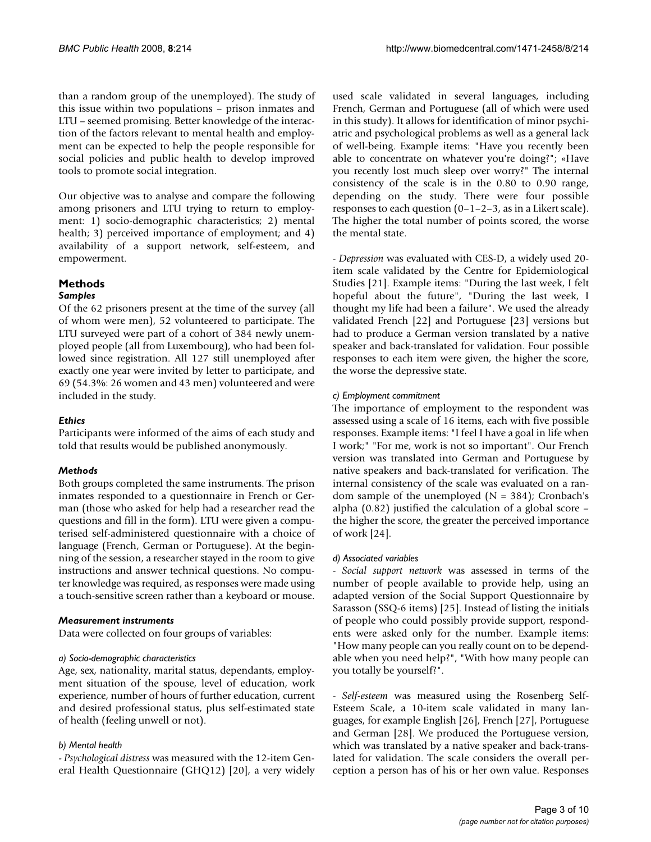than a random group of the unemployed). The study of this issue within two populations – prison inmates and LTU – seemed promising. Better knowledge of the interaction of the factors relevant to mental health and employment can be expected to help the people responsible for social policies and public health to develop improved tools to promote social integration.

Our objective was to analyse and compare the following among prisoners and LTU trying to return to employment: 1) socio-demographic characteristics; 2) mental health; 3) perceived importance of employment; and 4) availability of a support network, self-esteem, and empowerment.

# **Methods**

# *Samples*

Of the 62 prisoners present at the time of the survey (all of whom were men), 52 volunteered to participate. The LTU surveyed were part of a cohort of 384 newly unemployed people (all from Luxembourg), who had been followed since registration. All 127 still unemployed after exactly one year were invited by letter to participate, and 69 (54.3%: 26 women and 43 men) volunteered and were included in the study.

# *Ethics*

Participants were informed of the aims of each study and told that results would be published anonymously.

# *Methods*

Both groups completed the same instruments. The prison inmates responded to a questionnaire in French or German (those who asked for help had a researcher read the questions and fill in the form). LTU were given a computerised self-administered questionnaire with a choice of language (French, German or Portuguese). At the beginning of the session, a researcher stayed in the room to give instructions and answer technical questions. No computer knowledge was required, as responses were made using a touch-sensitive screen rather than a keyboard or mouse.

# *Measurement instruments*

Data were collected on four groups of variables:

# *a) Socio-demographic characteristics*

Age, sex, nationality, marital status, dependants, employment situation of the spouse, level of education, work experience, number of hours of further education, current and desired professional status, plus self-estimated state of health (feeling unwell or not).

# *b) Mental health*

- *Psychological distress* was measured with the 12-item General Health Questionnaire (GHQ12) [20], a very widely used scale validated in several languages, including French, German and Portuguese (all of which were used in this study). It allows for identification of minor psychiatric and psychological problems as well as a general lack of well-being. Example items: "Have you recently been able to concentrate on whatever you're doing?"; «Have you recently lost much sleep over worry?" The internal consistency of the scale is in the 0.80 to 0.90 range, depending on the study. There were four possible responses to each question  $(0-1-2-3)$ , as in a Likert scale). The higher the total number of points scored, the worse the mental state.

- *Depression* was evaluated with CES-D, a widely used 20 item scale validated by the Centre for Epidemiological Studies [21]. Example items: "During the last week, I felt hopeful about the future", "During the last week, I thought my life had been a failure". We used the already validated French [22] and Portuguese [23] versions but had to produce a German version translated by a native speaker and back-translated for validation. Four possible responses to each item were given, the higher the score, the worse the depressive state.

#### *c) Employment commitment*

The importance of employment to the respondent was assessed using a scale of 16 items, each with five possible responses. Example items: "I feel I have a goal in life when I work;" "For me, work is not so important". Our French version was translated into German and Portuguese by native speakers and back-translated for verification. The internal consistency of the scale was evaluated on a random sample of the unemployed  $(N = 384)$ ; Cronbach's alpha (0.82) justified the calculation of a global score – the higher the score, the greater the perceived importance of work [24].

#### *d) Associated variables*

- *Social support network* was assessed in terms of the number of people available to provide help, using an adapted version of the Social Support Questionnaire by Sarasson (SSQ-6 items) [25]. Instead of listing the initials of people who could possibly provide support, respondents were asked only for the number. Example items: "How many people can you really count on to be dependable when you need help?", "With how many people can you totally be yourself?".

- *Self-esteem* was measured using the Rosenberg Self-Esteem Scale, a 10-item scale validated in many languages, for example English [26], French [27], Portuguese and German [28]. We produced the Portuguese version, which was translated by a native speaker and back-translated for validation. The scale considers the overall perception a person has of his or her own value. Responses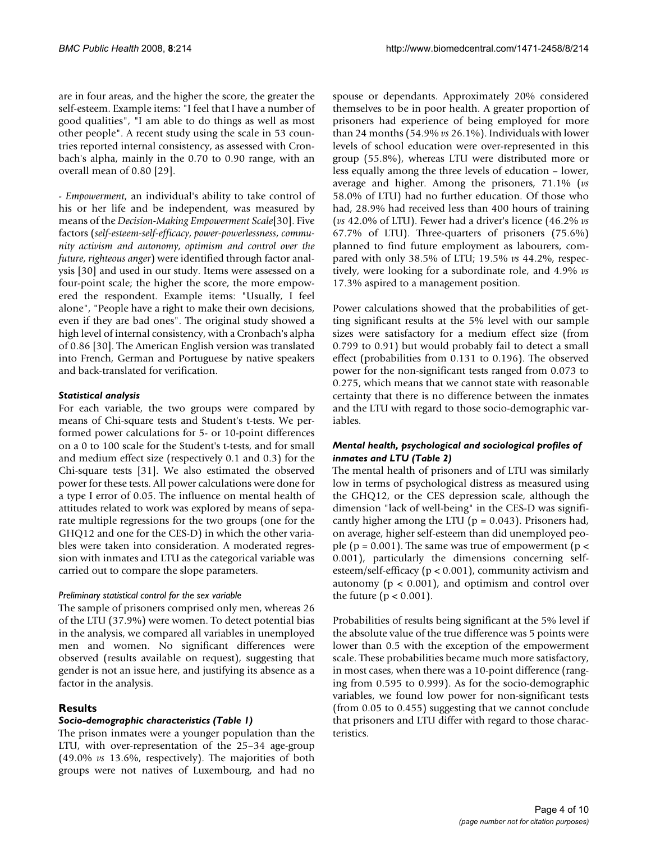are in four areas, and the higher the score, the greater the self-esteem. Example items: "I feel that I have a number of good qualities", "I am able to do things as well as most other people". A recent study using the scale in 53 countries reported internal consistency, as assessed with Cronbach's alpha, mainly in the 0.70 to 0.90 range, with an overall mean of 0.80 [29].

- *Empowerment*, an individual's ability to take control of his or her life and be independent, was measured by means of the *Decision-Making Empowerment Scale*[30]. Five factors (*self-esteem-self-efficacy*, *power-powerlessness*, *community activism and autonomy*, *optimism and control over the future*, *righteous anger*) were identified through factor analysis [30] and used in our study. Items were assessed on a four-point scale; the higher the score, the more empowered the respondent. Example items: "Usually, I feel alone", "People have a right to make their own decisions, even if they are bad ones". The original study showed a high level of internal consistency, with a Cronbach's alpha of 0.86 [30]. The American English version was translated into French, German and Portuguese by native speakers and back-translated for verification.

# *Statistical analysis*

For each variable, the two groups were compared by means of Chi-square tests and Student's t-tests. We performed power calculations for 5- or 10-point differences on a 0 to 100 scale for the Student's t-tests, and for small and medium effect size (respectively 0.1 and 0.3) for the Chi-square tests [31]. We also estimated the observed power for these tests. All power calculations were done for a type I error of 0.05. The influence on mental health of attitudes related to work was explored by means of separate multiple regressions for the two groups (one for the GHQ12 and one for the CES-D) in which the other variables were taken into consideration. A moderated regression with inmates and LTU as the categorical variable was carried out to compare the slope parameters.

# *Preliminary statistical control for the sex variable*

The sample of prisoners comprised only men, whereas 26 of the LTU (37.9%) were women. To detect potential bias in the analysis, we compared all variables in unemployed men and women. No significant differences were observed (results available on request), suggesting that gender is not an issue here, and justifying its absence as a factor in the analysis.

# **Results**

# *Socio-demographic characteristics (Table 1)*

The prison inmates were a younger population than the LTU, with over-representation of the 25–34 age-group (49.0% *vs* 13.6%, respectively). The majorities of both groups were not natives of Luxembourg, and had no

spouse or dependants. Approximately 20% considered themselves to be in poor health. A greater proportion of prisoners had experience of being employed for more than 24 months (54.9% *vs* 26.1%). Individuals with lower levels of school education were over-represented in this group (55.8%), whereas LTU were distributed more or less equally among the three levels of education – lower, average and higher. Among the prisoners, 71.1% (*vs* 58.0% of LTU) had no further education. Of those who had, 28.9% had received less than 400 hours of training (*vs* 42.0% of LTU). Fewer had a driver's licence (46.2% *vs* 67.7% of LTU). Three-quarters of prisoners (75.6%) planned to find future employment as labourers, compared with only 38.5% of LTU; 19.5% *vs* 44.2%, respectively, were looking for a subordinate role, and 4.9% *vs* 17.3% aspired to a management position.

Power calculations showed that the probabilities of getting significant results at the 5% level with our sample sizes were satisfactory for a medium effect size (from 0.799 to 0.91) but would probably fail to detect a small effect (probabilities from 0.131 to 0.196). The observed power for the non-significant tests ranged from 0.073 to 0.275, which means that we cannot state with reasonable certainty that there is no difference between the inmates and the LTU with regard to those socio-demographic variables.

# *Mental health, psychological and sociological profiles of inmates and LTU (Table 2)*

The mental health of prisoners and of LTU was similarly low in terms of psychological distress as measured using the GHQ12, or the CES depression scale, although the dimension "lack of well-being" in the CES-D was significantly higher among the LTU ( $p = 0.043$ ). Prisoners had, on average, higher self-esteem than did unemployed people ( $p = 0.001$ ). The same was true of empowerment ( $p <$ 0.001), particularly the dimensions concerning selfesteem/self-efficacy (p < 0.001), community activism and autonomy ( $p < 0.001$ ), and optimism and control over the future ( $p < 0.001$ ).

Probabilities of results being significant at the 5% level if the absolute value of the true difference was 5 points were lower than 0.5 with the exception of the empowerment scale. These probabilities became much more satisfactory, in most cases, when there was a 10-point difference (ranging from 0.595 to 0.999). As for the socio-demographic variables, we found low power for non-significant tests (from 0.05 to 0.455) suggesting that we cannot conclude that prisoners and LTU differ with regard to those characteristics.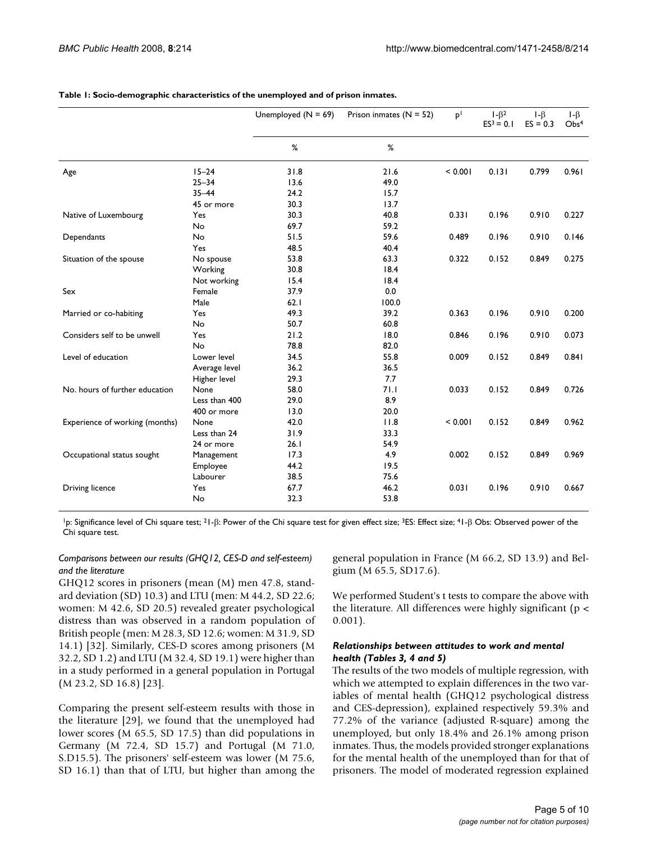|                                |               | Unemployed $(N = 69)$<br>Prison inmates $(N = 52)$ |       | P <sup>1</sup> | $I - \beta^2$<br>$ES3 = 0.1$ | $I - \beta$<br>$ES = 0.3$ | $I - \beta$<br>Obs <sup>4</sup> |
|--------------------------------|---------------|----------------------------------------------------|-------|----------------|------------------------------|---------------------------|---------------------------------|
|                                |               | %                                                  | %     |                |                              |                           |                                 |
| Age                            | $15 - 24$     | 31.8                                               | 21.6  | < 0.001        | 0.131                        | 0.799                     | 0.961                           |
|                                | $25 - 34$     | 13.6                                               | 49.0  |                |                              |                           |                                 |
|                                | $35 - 44$     | 24.2                                               | 15.7  |                |                              |                           |                                 |
|                                | 45 or more    | 30.3                                               | 13.7  |                |                              |                           |                                 |
| Native of Luxembourg           | Yes           | 30.3                                               | 40.8  | 0.331          | 0.196                        | 0.910                     | 0.227                           |
|                                | No            | 69.7                                               | 59.2  |                |                              |                           |                                 |
| Dependants                     | <b>No</b>     | 51.5                                               | 59.6  | 0.489          | 0.196                        | 0.910                     | 0.146                           |
|                                | Yes           | 48.5                                               | 40.4  |                |                              |                           |                                 |
| Situation of the spouse        | No spouse     | 53.8                                               | 63.3  | 0.322          | 0.152                        | 0.849                     | 0.275                           |
|                                | Working       | 30.8                                               | 18.4  |                |                              |                           |                                 |
|                                | Not working   | 15.4                                               | 18.4  |                |                              |                           |                                 |
| Sex                            | Female        | 37.9                                               | 0.0   |                |                              |                           |                                 |
|                                | Male          | 62.1                                               | 100.0 |                |                              |                           |                                 |
| Married or co-habiting         | Yes           | 49.3                                               | 39.2  | 0.363          | 0.196                        | 0.910                     | 0.200                           |
|                                | No            | 50.7                                               | 60.8  |                |                              |                           |                                 |
| Considers self to be unwell    | Yes           | 21.2                                               | 18.0  | 0.846          | 0.196                        | 0.910                     | 0.073                           |
|                                | No            | 78.8                                               | 82.0  |                |                              |                           |                                 |
| Level of education             | Lower level   | 34.5                                               | 55.8  | 0.009          | 0.152                        | 0.849                     | 0.841                           |
|                                | Average level | 36.2                                               | 36.5  |                |                              |                           |                                 |
|                                | Higher level  | 29.3                                               | 7.7   |                |                              |                           |                                 |
| No. hours of further education | None          | 58.0                                               | 71.1  | 0.033          | 0.152                        | 0.849                     | 0.726                           |
|                                | Less than 400 | 29.0                                               | 8.9   |                |                              |                           |                                 |
|                                | 400 or more   | 13.0                                               | 20.0  |                |                              |                           |                                 |
| Experience of working (months) | None          | 42.0                                               | 11.8  | < 0.001        | 0.152                        | 0.849                     | 0.962                           |
|                                | Less than 24  | 31.9                                               | 33.3  |                |                              |                           |                                 |
|                                | 24 or more    | 26.1                                               | 54.9  |                |                              |                           |                                 |
| Occupational status sought     | Management    | 17.3                                               | 4.9   | 0.002          | 0.152                        | 0.849                     | 0.969                           |
|                                | Employee      | 44.2                                               | 19.5  |                |                              |                           |                                 |
|                                | Labourer      | 38.5                                               | 75.6  |                |                              |                           |                                 |
| Driving licence                | Yes           | 67.7                                               | 46.2  | 0.031          | 0.196                        | 0.910                     | 0.667                           |
|                                | No            | 32.3                                               | 53.8  |                |                              |                           |                                 |

#### **Table 1: Socio-demographic characteristics of the unemployed and of prison inmates.**

1p: Significance level of Chi square test; 21-β: Power of the Chi square test for given effect size; 3ES: Effect size; 41-β Obs: Observed power of the Chi square test.

#### *Comparisons between our results (GHQ12, CES-D and self-esteem) and the literature*

GHQ12 scores in prisoners (mean (M) men 47.8, standard deviation (SD) 10.3) and LTU (men: M 44.2, SD 22.6; women: M 42.6, SD 20.5) revealed greater psychological distress than was observed in a random population of British people (men: M 28.3, SD 12.6; women: M 31.9, SD 14.1) [32]. Similarly, CES-D scores among prisoners (M 32.2, SD 1.2) and LTU (M 32.4, SD 19.1) were higher than in a study performed in a general population in Portugal (M 23.2, SD 16.8) [23].

Comparing the present self-esteem results with those in the literature [29], we found that the unemployed had lower scores (M 65.5, SD 17.5) than did populations in Germany (M 72.4, SD 15.7) and Portugal (M 71.0, S.D15.5). The prisoners' self-esteem was lower (M 75.6, SD 16.1) than that of LTU, but higher than among the general population in France (M 66.2, SD 13.9) and Belgium (M 65.5, SD17.6).

We performed Student's t tests to compare the above with the literature. All differences were highly significant (p < 0.001).

#### *Relationships between attitudes to work and mental health (Tables 3, 4 and 5)*

The results of the two models of multiple regression, with which we attempted to explain differences in the two variables of mental health (GHQ12 psychological distress and CES-depression), explained respectively 59.3% and 77.2% of the variance (adjusted R-square) among the unemployed, but only 18.4% and 26.1% among prison inmates. Thus, the models provided stronger explanations for the mental health of the unemployed than for that of prisoners. The model of moderated regression explained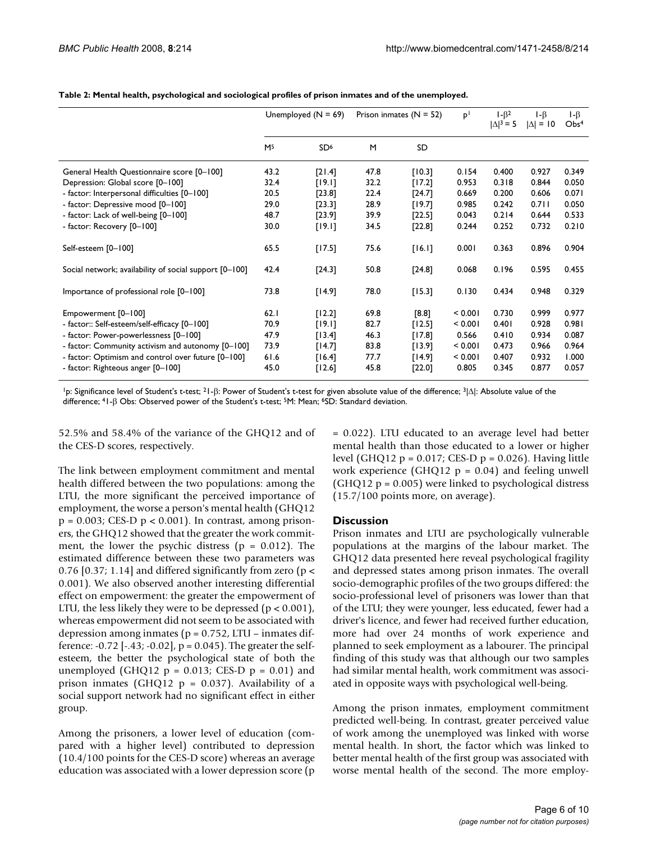|                                                        | Unemployed $(N = 69)$ |                 |      | Prison inmates $(N = 52)$ | P <sup>1</sup> | $I - \beta^2$<br>$ \Delta ^3 = 5$ | $l - \beta$<br>$ \Delta  = 10$ | $I - \beta$<br>Obs <sup>4</sup> |
|--------------------------------------------------------|-----------------------|-----------------|------|---------------------------|----------------|-----------------------------------|--------------------------------|---------------------------------|
|                                                        | M <sup>5</sup>        | SD <sup>6</sup> | M    | SD                        |                |                                   |                                |                                 |
| General Health Questionnaire score [0-100]             | 43.2                  | $[21.4]$        | 47.8 | [10.3]                    | 0.154          | 0.400                             | 0.927                          | 0.349                           |
| Depression: Global score [0-100]                       | 32.4                  | $[19.1]$        | 32.2 | $[17.2]$                  | 0.953          | 0.318                             | 0.844                          | 0.050                           |
| - factor: Interpersonal difficulties [0-100]           | 20.5                  | [23.8]          | 22.4 | [24.7]                    | 0.669          | 0.200                             | 0.606                          | 0.071                           |
| - factor: Depressive mood [0-100]                      | 29.0                  | [23.3]          | 28.9 | [19.7]                    | 0.985          | 0.242                             | 0.711                          | 0.050                           |
| - factor: Lack of well-being [0-100]                   | 48.7                  | [23.9]          | 39.9 | [22.5]                    | 0.043          | 0.214                             | 0.644                          | 0.533                           |
| - factor: Recovery [0-100]                             | 30.0                  | [19.1]          | 34.5 | [22.8]                    | 0.244          | 0.252                             | 0.732                          | 0.210                           |
| Self-esteem [0-100]                                    | 65.5                  | $[17.5]$        | 75.6 | [16.1]                    | 0.001          | 0.363                             | 0.896                          | 0.904                           |
| Social network; availability of social support [0-100] | 42.4                  | [24.3]          | 50.8 | [24.8]                    | 0.068          | 0.196                             | 0.595                          | 0.455                           |
| Importance of professional role [0-100]                | 73.8                  | [14.9]          | 78.0 | [15.3]                    | 0.130          | 0.434                             | 0.948                          | 0.329                           |
| Empowerment [0-100]                                    | 62.1                  | $[12.2]$        | 69.8 | [8.8]                     | < 0.001        | 0.730                             | 0.999                          | 0.977                           |
| - factor:: Self-esteem/self-efficacy [0-100]           | 70.9                  | [19.1]          | 82.7 | $[12.5]$                  | < 0.001        | 0.401                             | 0.928                          | 0.981                           |
| - factor: Power-powerlessness [0-100]                  | 47.9                  | [13.4]          | 46.3 | [17.8]                    | 0.566          | 0.410                             | 0.934                          | 0.087                           |
| - factor: Community activism and autonomy [0-100]      | 73.9                  | [14.7]          | 83.8 | [13.9]                    | < 0.001        | 0.473                             | 0.966                          | 0.964                           |
| - factor: Optimism and control over future [0-100]     | 61.6                  | [16.4]          | 77.7 | [14.9]                    | < 0.001        | 0.407                             | 0.932                          | 1.000                           |
| - factor: Righteous anger [0-100]                      | 45.0                  | $[12.6]$        | 45.8 | [22.0]                    | 0.805          | 0.345                             | 0.877                          | 0.057                           |

**Table 2: Mental health, psychological and sociological profiles of prison inmates and of the unemployed.**

<sup>1</sup>p: Significance level of Student's t-test; <sup>2</sup>1-β: Power of Student's t-test for given absolute value of the difference; <sup>3</sup>|Δ|: Absolute value of the difference; 41-β Obs: Observed power of the Student's t-test; 5M: Mean; 6SD: Standard deviation.

52.5% and 58.4% of the variance of the GHQ12 and of the CES-D scores, respectively.

The link between employment commitment and mental health differed between the two populations: among the LTU, the more significant the perceived importance of employment, the worse a person's mental health (GHQ12  $p = 0.003$ ; CES-D  $p < 0.001$ ). In contrast, among prisoners, the GHQ12 showed that the greater the work commitment, the lower the psychic distress ( $p = 0.012$ ). The estimated difference between these two parameters was 0.76 [0.37; 1.14] and differed significantly from zero ( $p <$ 0.001). We also observed another interesting differential effect on empowerment: the greater the empowerment of LTU, the less likely they were to be depressed ( $p < 0.001$ ), whereas empowerment did not seem to be associated with depression among inmates ( $p = 0.752$ , LTU – inmates difference:  $-0.72$   $[-.43; -0.02]$ ,  $p = 0.045$ ). The greater the selfesteem, the better the psychological state of both the unemployed (GHQ12  $p = 0.013$ ; CES-D  $p = 0.01$ ) and prison inmates (GHQ12  $p = 0.037$ ). Availability of a social support network had no significant effect in either group.

Among the prisoners, a lower level of education (compared with a higher level) contributed to depression (10.4/100 points for the CES-D score) whereas an average education was associated with a lower depression score (p

= 0.022). LTU educated to an average level had better mental health than those educated to a lower or higher level (GHQ12  $p = 0.017$ ; CES-D  $p = 0.026$ ). Having little work experience (GHQ12  $p = 0.04$ ) and feeling unwell (GHQ12  $p = 0.005$ ) were linked to psychological distress  $(15.7/100 \text{ points more, on average}).$ 

#### **Discussion**

Prison inmates and LTU are psychologically vulnerable populations at the margins of the labour market. The GHQ12 data presented here reveal psychological fragility and depressed states among prison inmates. The overall socio-demographic profiles of the two groups differed: the socio-professional level of prisoners was lower than that of the LTU; they were younger, less educated, fewer had a driver's licence, and fewer had received further education, more had over 24 months of work experience and planned to seek employment as a labourer. The principal finding of this study was that although our two samples had similar mental health, work commitment was associated in opposite ways with psychological well-being.

Among the prison inmates, employment commitment predicted well-being. In contrast, greater perceived value of work among the unemployed was linked with worse mental health. In short, the factor which was linked to better mental health of the first group was associated with worse mental health of the second. The more employ-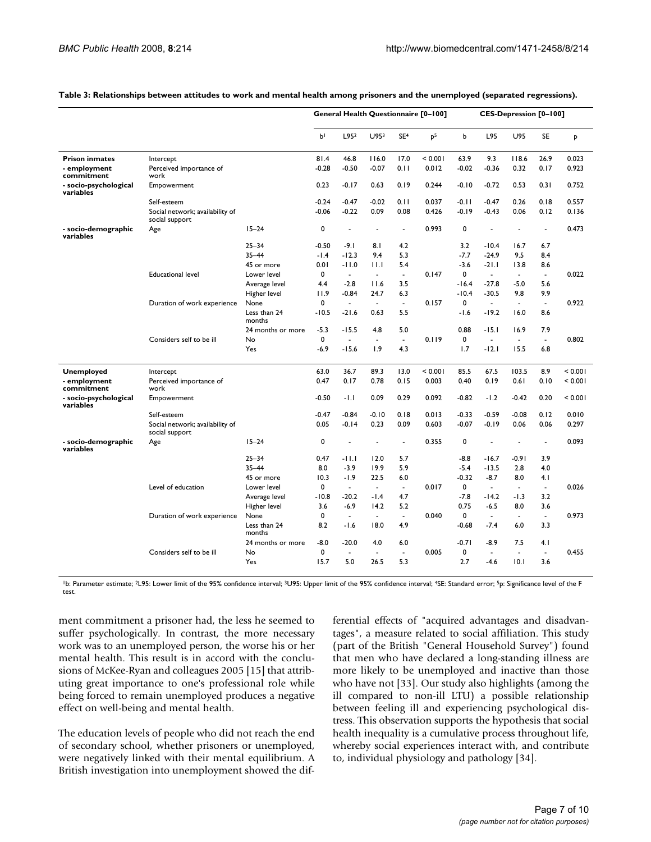|                                    |                                                   |                        | General Health Questionnaire [0-100] |                       |                          |                 | CES-Depression [0-100] |             |                             |                |                |         |
|------------------------------------|---------------------------------------------------|------------------------|--------------------------------------|-----------------------|--------------------------|-----------------|------------------------|-------------|-----------------------------|----------------|----------------|---------|
|                                    |                                                   |                        | b <sup>1</sup>                       | L952                  | U953                     | SE <sup>4</sup> | p <sup>5</sup>         | $\mathbf b$ | L95                         | U95            | <b>SE</b>      | P       |
| <b>Prison inmates</b>              | Intercept                                         |                        | 81.4                                 | 46.8                  | 116.0                    | 17.0            | < 0.001                | 63.9        | 9.3                         | 118.6          | 26.9           | 0.023   |
| - employment<br>commitment         | Perceived importance of<br>work                   |                        | $-0.28$                              | $-0.50$               | $-0.07$                  | 0.11            | 0.012                  | $-0.02$     | $-0.36$                     | 0.32           | 0.17           | 0.923   |
| - socio-psychological<br>variables | Empowerment                                       |                        | 0.23                                 | $-0.17$               | 0.63                     | 0.19            | 0.244                  | $-0.10$     | $-0.72$                     | 0.53           | 0.31           | 0.752   |
|                                    | Self-esteem                                       |                        | $-0.24$                              | $-0.47$               | $-0.02$                  | 0.11            | 0.037                  | $-0.11$     | $-0.47$                     | 0.26           | 0.18           | 0.557   |
|                                    | Social network; availability of<br>social support |                        | $-0.06$                              | $-0.22$               | 0.09                     | 0.08            | 0.426                  | $-0.19$     | $-0.43$                     | 0.06           | 0.12           | 0.136   |
| - socio-demographic<br>variables   | Age                                               | $15 - 24$              | 0                                    | $\sim$                | $\blacksquare$           | $\blacksquare$  | 0.993                  | 0           | $\mathcal{L}_{\mathcal{A}}$ | $\overline{a}$ | $\blacksquare$ | 0.473   |
|                                    |                                                   | $25 - 34$              | $-0.50$                              | $-9.1$                | 8.1                      | 4.2             |                        | 3.2         | $-10.4$                     | 16.7           | 6.7            |         |
|                                    |                                                   | $35 - 44$              | $-1.4$                               | $-12.3$               | 9.4                      | 5.3             |                        | $-7.7$      | $-24.9$                     | 9.5            | 8.4            |         |
|                                    |                                                   | 45 or more             | 0.01                                 | $-11.0$               | 11.1                     | 5.4             |                        | $-3.6$      | $-21.1$                     | 13.8           | 8.6            |         |
|                                    | <b>Educational level</b>                          | Lower level            | 0                                    | $\mathbf{r}$          | $\sim$                   | $\sim$          | 0.147                  | $\mathbf 0$ | $\sim$                      | $\sim$         | $\sim$         | 0.022   |
|                                    |                                                   | Average level          | 4.4                                  | $-2.8$                | 11.6                     | 3.5             |                        | $-16.4$     | $-27.8$                     | $-5.0$         | 5.6            |         |
|                                    |                                                   | Higher level           | 11.9                                 | $-0.84$               | 24.7                     | 6.3             |                        | $-10.4$     | $-30.5$                     | 9.8            | 9.9            |         |
|                                    | Duration of work experience                       | None                   | 0                                    | $\tilde{\phantom{a}}$ | $\omega$                 | $\omega$        | 0.157                  | 0           | ä,                          | $\mathbf{r}$   | $\omega$       | 0.922   |
|                                    |                                                   | Less than 24<br>months | $-10.5$                              | $-21.6$               | 0.63                     | 5.5             |                        | $-1.6$      | $-19.2$                     | 16.0           | 8.6            |         |
|                                    |                                                   | 24 months or more      | $-5.3$                               | $-15.5$               | 4.8                      | 5.0             |                        | 0.88        | $-15.1$                     | 16.9           | 7.9            |         |
|                                    | Considers self to be ill                          | No                     | $\mathbf 0$                          | $\mathbf{r}$          | $\blacksquare$           | $\omega$        | 0.119                  | $\mathbf 0$ | $\mathbf{r}$                | ÷.             | $\omega$       | 0.802   |
|                                    |                                                   | Yes                    | $-6.9$                               | $-15.6$               | 1.9                      | 4.3             |                        | 1.7         | $-12.1$                     | 15.5           | 6.8            |         |
| <b>Unemployed</b>                  | Intercept                                         |                        | 63.0                                 | 36.7                  | 89.3                     | 13.0            | < 0.001                | 85.5        | 67.5                        | 103.5          | 8.9            | < 0.001 |
| - employment<br>commitment         | Perceived importance of<br>work                   |                        | 0.47                                 | 0.17                  | 0.78                     | 0.15            | 0.003                  | 0.40        | 0.19                        | 0.61           | 0.10           | < 0.001 |
| - socio-psychological<br>variables | Empowerment                                       |                        | $-0.50$                              | -1.1                  | 0.09                     | 0.29            | 0.092                  | $-0.82$     | $-1.2$                      | $-0.42$        | 0.20           | < 0.001 |
|                                    | Self-esteem                                       |                        | $-0.47$                              | $-0.84$               | $-0.10$                  | 0.18            | 0.013                  | $-0.33$     | $-0.59$                     | $-0.08$        | 0.12           | 0.010   |
|                                    | Social network; availability of<br>social support |                        | 0.05                                 | $-0.14$               | 0.23                     | 0.09            | 0.603                  | $-0.07$     | $-0.19$                     | 0.06           | 0.06           | 0.297   |
| - socio-demographic<br>variables   | Age                                               | $15 - 24$              | 0                                    | ä,                    | $\overline{\phantom{a}}$ | $\mathbf{r}$    | 0.355                  | 0           | ä,                          | ÷,             | ÷.             | 0.093   |
|                                    |                                                   | $25 - 34$              | 0.47                                 | -11.1                 | 12.0                     | 5.7             |                        | $-8.8$      | $-16.7$                     | -0.91          | 3.9            |         |
|                                    |                                                   | $35 - 44$              | 8.0                                  | $-3.9$                | 19.9                     | 5.9             |                        | $-5.4$      | $-13.5$                     | 2.8            | 4.0            |         |
|                                    |                                                   | 45 or more             | 10.3                                 | $-1.9$                | 22.5                     | 6.0             |                        | $-0.32$     | $-8.7$                      | 8.0            | 4.1            |         |
|                                    | Level of education                                | Lower level            | 0                                    | $\omega$              | $\blacksquare$           | $\mathbf{r}$    | 0.017                  | 0           | ÷.                          | $\sim$         | ÷.             | 0.026   |
|                                    |                                                   | Average level          | $-10.8$                              | $-20.2$               | $-1.4$                   | 4.7             |                        | $-7.8$      | $-14.2$                     | $-1.3$         | 3.2            |         |
|                                    |                                                   | Higher level           | 3.6                                  | $-6.9$                | 14.2                     | 5.2             |                        | 0.75        | $-6.5$                      | 8.0            | 3.6            |         |
|                                    | Duration of work experience                       | None                   | $\mathbf 0$                          | $\mathbf{r}$          | $\mathbf{r}$             | $\omega$        | 0.040                  | $\mathbf 0$ | $\mathbf{r}$                | $\omega$       | $\omega$       | 0.973   |
|                                    |                                                   | Less than 24<br>months | 8.2                                  | -1.6                  | 18.0                     | 4.9             |                        | $-0.68$     | $-7.4$                      | 6.0            | 3.3            |         |
|                                    |                                                   | 24 months or more      | $-8.0$                               | $-20.0$               | 4.0                      | 6.0             |                        | $-0.71$     | $-8.9$                      | 7.5            | 4. I           |         |
|                                    | Considers self to be ill                          | No                     | 0                                    | $\mathbf{r}$          | $\overline{a}$           | $\omega$        | 0.005                  | 0           | $\mathbf{r}$                | $\mathbf{r}$   | $\mathbf{r}$   | 0.455   |
|                                    |                                                   | Yes                    | 15.7                                 | 5.0                   | 26.5                     | 5.3             |                        | 2.7         | $-4.6$                      | 10.1           | 3.6            |         |

**Table 3: Relationships between attitudes to work and mental health among prisoners and the unemployed (separated regressions).**

<sup>1</sup>b: Parameter estimate; <sup>2</sup>L95: Lower limit of the 95% confidence interval; <sup>3</sup>U95: Upper limit of the 95% confidence interval; <sup>4</sup>SE: Standard error; <sup>5</sup>p: Significance level of the F test.

ment commitment a prisoner had, the less he seemed to suffer psychologically. In contrast, the more necessary work was to an unemployed person, the worse his or her mental health. This result is in accord with the conclusions of McKee-Ryan and colleagues 2005 [15] that attributing great importance to one's professional role while being forced to remain unemployed produces a negative effect on well-being and mental health.

The education levels of people who did not reach the end of secondary school, whether prisoners or unemployed, were negatively linked with their mental equilibrium. A British investigation into unemployment showed the differential effects of "acquired advantages and disadvantages", a measure related to social affiliation. This study (part of the British "General Household Survey") found that men who have declared a long-standing illness are more likely to be unemployed and inactive than those who have not [33]. Our study also highlights (among the ill compared to non-ill LTU) a possible relationship between feeling ill and experiencing psychological distress. This observation supports the hypothesis that social health inequality is a cumulative process throughout life, whereby social experiences interact with, and contribute to, individual physiology and pathology [34].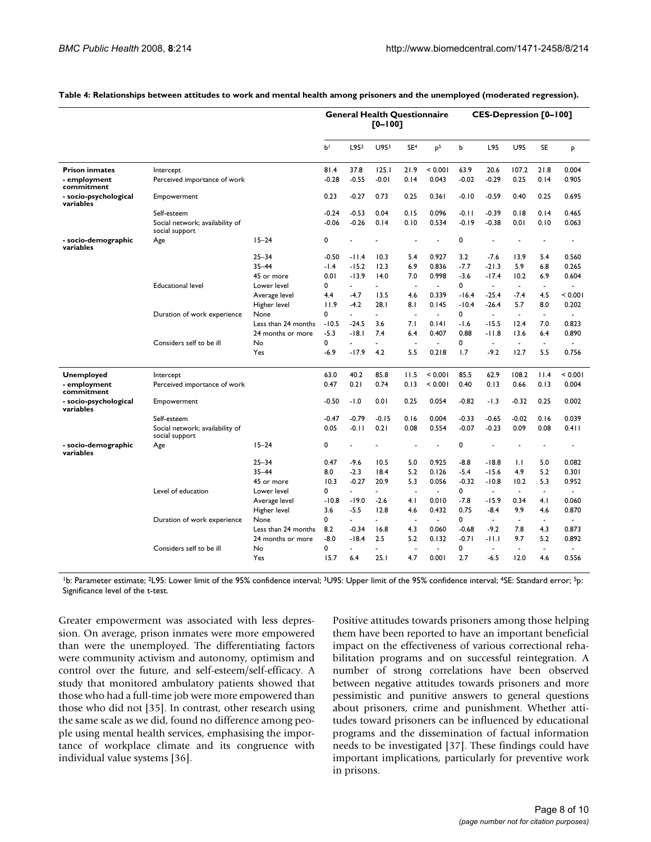**Table 4: Relationships between attitudes to work and mental health among prisoners and the unemployed (moderated regression).**

|                                    |                                                   |                     | <b>General Health Questionnaire</b><br>$[0 - 100]$ |                |                | <b>CES-Depression [0-100]</b> |                |         |                          |              |                |                |
|------------------------------------|---------------------------------------------------|---------------------|----------------------------------------------------|----------------|----------------|-------------------------------|----------------|---------|--------------------------|--------------|----------------|----------------|
|                                    |                                                   |                     | Ы                                                  | L952           | U953           | SE <sup>4</sup>               | p <sup>5</sup> | b       | L95                      | U95          | SE             | P              |
| <b>Prison inmates</b>              | Intercept                                         |                     | 81.4                                               | 37.8           | 125.1          | 21.9                          | < 0.001        | 63.9    | 20.6                     | 107.2        | 21.8           | 0.004          |
| - employment<br>commitment         | Perceived importance of work                      |                     | $-0.28$                                            | $-0.55$        | $-0.01$        | 0.14                          | 0.043          | $-0.02$ | $-0.29$                  | 0.25         | 0.14           | 0.905          |
| - socio-psychological<br>variables | Empowerment                                       |                     | 0.23                                               | $-0.27$        | 0.73           | 0.25                          | 0.361          | $-0.10$ | $-0.59$                  | 0.40         | 0.25           | 0.695          |
|                                    | Self-esteem                                       |                     | $-0.24$                                            | $-0.53$        | 0.04           | 0.15                          | 0.096          | $-0.11$ | $-0.39$                  | 0.18         | 0.14           | 0.465          |
|                                    | Social network; availability of<br>social support |                     | $-0.06$                                            | $-0.26$        | 0.14           | 0.10                          | 0.534          | $-0.19$ | $-0.38$                  | 0.01         | 0.10           | 0.063          |
| - socio-demographic<br>variables   | Age                                               | $15 - 24$           | 0                                                  |                |                |                               |                | 0       |                          |              |                |                |
|                                    |                                                   | $25 - 34$           | $-0.50$                                            | $-11.4$        | 10.3           | 5.4                           | 0.927          | 3.2     | $-7.6$                   | 13.9         | 5.4            | 0.560          |
|                                    |                                                   | $35 - 44$           | $-1.4$                                             | $-15.2$        | 12.3           | 6.9                           | 0.836          | $-7.7$  | $-21.3$                  | 5.9          | 6.8            | 0.265          |
|                                    |                                                   | 45 or more          | 0.01                                               | $-13.9$        | 14.0           | 7.0                           | 0.998          | $-3.6$  | $-17.4$                  | 10.2         | 6.9            | 0.604          |
|                                    | <b>Educational level</b>                          | Lower level         | 0                                                  | ÷.             | ÷.             | $\blacksquare$                | $\omega$       | 0       | $\omega$                 | $\omega$     | $\sim$         |                |
|                                    |                                                   | Average level       | 4.4                                                | $-4.7$         | 13.5           | 4.6                           | 0.339          | $-16.4$ | $-25.4$                  | $-7.4$       | 4.5            | < 0.001        |
|                                    |                                                   | Higher level        | 11.9                                               | $-4.2$         | 28.1           | 8.1                           | 0.145          | $-10.4$ | $-26.4$                  | 5.7          | 8.0            | 0.202          |
|                                    | Duration of work experience                       | None                | 0                                                  | ÷.             | ÷.             | ä,                            | L.             | 0       | $\overline{\phantom{a}}$ | $\sim$       | $\sim$         | ä,             |
|                                    |                                                   | Less than 24 months | $-10.5$                                            | $-24.5$        | 3.6            | 7.1                           | 0.141          | $-1.6$  | $-15.5$                  | 12.4         | 7.0            | 0.823          |
|                                    |                                                   | 24 months or more   | $-5.3$                                             | $-18.1$        | 7.4            | 6.4                           | 0.407          | 0.88    | $-11.8$                  | 13.6         | 6.4            | 0.890          |
|                                    | Considers self to be ill                          | No                  | 0                                                  | $\overline{a}$ | ÷.             | ä,                            | ÷,             | 0       | $\blacksquare$           | $\sim$       | $\blacksquare$ | ä,             |
|                                    |                                                   | Yes                 | $-6.9$                                             | $-17.9$        | 4.2            | 5.5                           | 0.218          | 1.7     | $-9.2$                   | 12.7         | 5.5            | 0.756          |
| <b>Unemployed</b>                  | Intercept                                         |                     | 63.0                                               | 40.2           | 85.8           | 11.5                          | < 0.001        | 85.5    | 62.9                     | 108.2        | 11.4           | < 0.001        |
| - employment<br>commitment         | Perceived importance of work                      |                     | 0.47                                               | 0.21           | 0.74           | 0.13                          | < 0.001        | 0.40    | 0.13                     | 0.66         | 0.13           | 0.004          |
| - socio-psychological<br>variables | Empowerment                                       |                     | $-0.50$                                            | $-1.0$         | 0.01           | 0.25                          | 0.054          | $-0.82$ | $-1.3$                   | $-0.32$      | 0.25           | 0.002          |
|                                    | Self-esteem                                       |                     | $-0.47$                                            | $-0.79$        | $-0.15$        | 0.16                          | 0.004          | $-0.33$ | $-0.65$                  | $-0.02$      | 0.16           | 0.039          |
|                                    | Social network; availability of<br>social support |                     | 0.05                                               | $-0.11$        | 0.21           | 0.08                          | 0.554          | $-0.07$ | $-0.23$                  | 0.09         | 0.08           | 0.411          |
| - socio-demographic<br>variables   | Age                                               | $15 - 24$           | 0                                                  |                |                | ÷                             |                | 0       |                          |              | ä,             | ۰              |
|                                    |                                                   | $25 - 34$           | 0.47                                               | $-9.6$         | 10.5           | 5.0                           | 0.925          | $-8.8$  | $-18.8$                  | IJ           | 5.0            | 0.082          |
|                                    |                                                   | $35 - 44$           | 8.0                                                | $-2.3$         | 18.4           | 5.2                           | 0.126          | $-5.4$  | $-15.6$                  | 4.9          | 5.2            | 0.301          |
|                                    |                                                   | 45 or more          | 10.3                                               | $-0.27$        | 20.9           | 5.3                           | 0.056          | $-0.32$ | $-10.8$                  | 10.2         | 5.3            | 0.952          |
|                                    | Level of education                                | Lower level         | 0                                                  | ä,             | a.             | $\sim$                        | $\overline{a}$ | 0       | $\mathbf{r}$             | $\mathbf{r}$ | $\mathbf{r}$   | ÷.             |
|                                    |                                                   | Average level       | $-10.8$                                            | $-19.0$        | $-2.6$         | 4.1                           | 0.010          | $-7.8$  | $-15.9$                  | 0.34         | 4. I           | 0.060          |
|                                    |                                                   | Higher level        | 3.6                                                | $-5.5$         | 12.8           | 4.6                           | 0.432          | 0.75    | $-8.4$                   | 9.9          | 4.6            | 0.870          |
|                                    | Duration of work experience                       | None                | 0                                                  | $\overline{a}$ | $\blacksquare$ | $\blacksquare$                | $\overline{a}$ | 0       | $\sim$                   | $\sim$       | $\sim$         | $\blacksquare$ |
|                                    |                                                   | Less than 24 months | 8.2                                                | $-0.34$        | 16.8           | 4.3                           | 0.060          | $-0.68$ | $-9.2$                   | 7.8          | 4.3            | 0.873          |
|                                    |                                                   | 24 months or more   | $-8.0$                                             | $-18.4$        | 2.5            | 5.2                           | 0.132          | $-0.71$ | $-11.1$                  | 9.7          | 5.2            | 0.892          |
|                                    | Considers self to be ill                          | No                  | 0                                                  | ÷.             | ä,             |                               | L.             | 0       | $\mathbf{r}$             | ÷.           | $\overline{a}$ |                |
|                                    |                                                   | Yes                 | 15.7                                               | 6.4            | 25.1           | 4.7                           | 0.001          | 2.7     | $-6.5$                   | 12.0         | 4.6            | 0.556          |

<sup>1</sup>b: Parameter estimate; <sup>2</sup>L95: Lower limit of the 95% confidence interval; <sup>3</sup>U95: Upper limit of the 95% confidence interval; <sup>4</sup>SE: Standard error; <sup>5</sup>p: Significance level of the t-test.

Greater empowerment was associated with less depression. On average, prison inmates were more empowered than were the unemployed. The differentiating factors were community activism and autonomy, optimism and control over the future, and self-esteem/self-efficacy. A study that monitored ambulatory patients showed that those who had a full-time job were more empowered than those who did not [35]. In contrast, other research using the same scale as we did, found no difference among people using mental health services, emphasising the importance of workplace climate and its congruence with individual value systems [36].

Positive attitudes towards prisoners among those helping them have been reported to have an important beneficial impact on the effectiveness of various correctional rehabilitation programs and on successful reintegration. A number of strong correlations have been observed between negative attitudes towards prisoners and more pessimistic and punitive answers to general questions about prisoners, crime and punishment. Whether attitudes toward prisoners can be influenced by educational programs and the dissemination of factual information needs to be investigated [37]. These findings could have important implications, particularly for preventive work in prisons.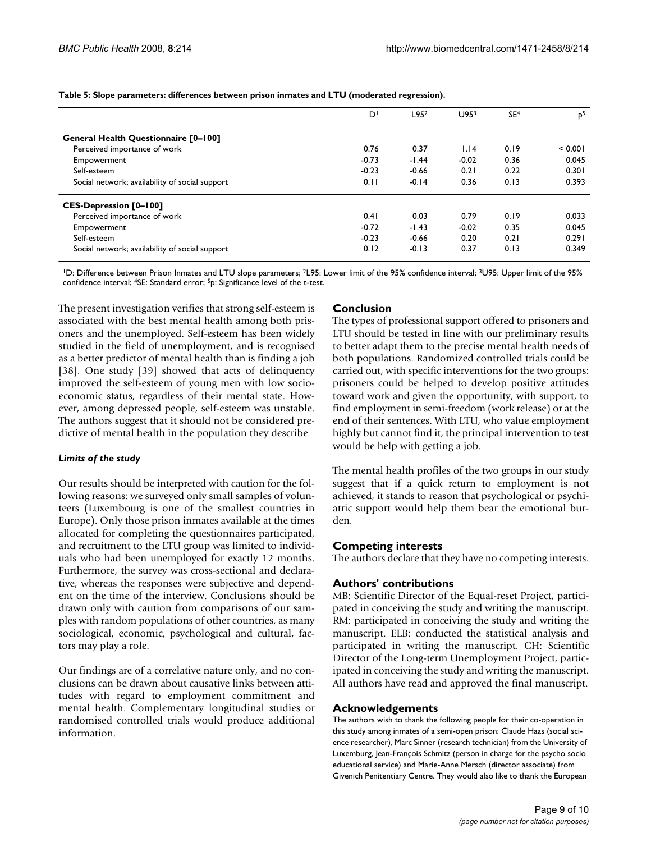|                                                | D١      | L952    | U95 <sup>3</sup> | SE <sup>4</sup> | p <sup>5</sup> |
|------------------------------------------------|---------|---------|------------------|-----------------|----------------|
| <b>General Health Questionnaire [0-100]</b>    |         |         |                  |                 |                |
| Perceived importance of work                   | 0.76    | 0.37    | 1.14             | 0.19            | < 0.001        |
| Empowerment                                    | $-0.73$ | $-1.44$ | $-0.02$          | 0.36            | 0.045          |
| Self-esteem                                    | $-0.23$ | $-0.66$ | 0.21             | 0.22            | 0.301          |
| Social network; availability of social support | 0.11    | $-0.14$ | 0.36             | 0.13            | 0.393          |
| <b>CES-Depression [0-100]</b>                  |         |         |                  |                 |                |
| Perceived importance of work                   | 0.41    | 0.03    | 0.79             | 0.19            | 0.033          |
| Empowerment                                    | $-0.72$ | $-1.43$ | $-0.02$          | 0.35            | 0.045          |
| Self-esteem                                    | $-0.23$ | $-0.66$ | 0.20             | 0.21            | 0.291          |
| Social network; availability of social support | 0.12    | $-0.13$ | 0.37             | 0.13            | 0.349          |

**Table 5: Slope parameters: differences between prison inmates and LTU (moderated regression).**

1D: Difference between Prison Inmates and LTU slope parameters; 2L95: Lower limit of the 95% confidence interval; 3U95: Upper limit of the 95% confidence interval; <sup>4</sup>SE: Standard error; <sup>5</sup>p: Significance level of the t-test.

The present investigation verifies that strong self-esteem is associated with the best mental health among both prisoners and the unemployed. Self-esteem has been widely studied in the field of unemployment, and is recognised as a better predictor of mental health than is finding a job [38]. One study [39] showed that acts of delinquency improved the self-esteem of young men with low socioeconomic status, regardless of their mental state. However, among depressed people, self-esteem was unstable. The authors suggest that it should not be considered predictive of mental health in the population they describe

#### *Limits of the study*

Our results should be interpreted with caution for the following reasons: we surveyed only small samples of volunteers (Luxembourg is one of the smallest countries in Europe). Only those prison inmates available at the times allocated for completing the questionnaires participated, and recruitment to the LTU group was limited to individuals who had been unemployed for exactly 12 months. Furthermore, the survey was cross-sectional and declarative, whereas the responses were subjective and dependent on the time of the interview. Conclusions should be drawn only with caution from comparisons of our samples with random populations of other countries, as many sociological, economic, psychological and cultural, factors may play a role.

Our findings are of a correlative nature only, and no conclusions can be drawn about causative links between attitudes with regard to employment commitment and mental health. Complementary longitudinal studies or randomised controlled trials would produce additional information.

# **Conclusion**

The types of professional support offered to prisoners and LTU should be tested in line with our preliminary results to better adapt them to the precise mental health needs of both populations. Randomized controlled trials could be carried out, with specific interventions for the two groups: prisoners could be helped to develop positive attitudes toward work and given the opportunity, with support, to find employment in semi-freedom (work release) or at the end of their sentences. With LTU, who value employment highly but cannot find it, the principal intervention to test would be help with getting a job.

The mental health profiles of the two groups in our study suggest that if a quick return to employment is not achieved, it stands to reason that psychological or psychiatric support would help them bear the emotional burden.

# **Competing interests**

The authors declare that they have no competing interests.

# **Authors' contributions**

MB: Scientific Director of the Equal-reset Project, participated in conceiving the study and writing the manuscript. RM: participated in conceiving the study and writing the manuscript. ELB: conducted the statistical analysis and participated in writing the manuscript. CH: Scientific Director of the Long-term Unemployment Project, participated in conceiving the study and writing the manuscript. All authors have read and approved the final manuscript.

# **Acknowledgements**

The authors wish to thank the following people for their co-operation in this study among inmates of a semi-open prison: Claude Haas (social science researcher), Marc Sinner (research technician) from the University of Luxemburg, Jean-François Schmitz (person in charge for the psycho socio educational service) and Marie-Anne Mersch (director associate) from Givenich Penitentiary Centre. They would also like to thank the European